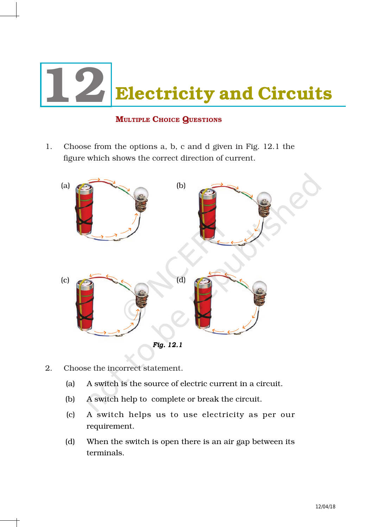

## **MULTIPLE CHOICE QUESTIONS**

1. Choose from the options a, b, c and d given in Fig. 12.1 the figure which shows the correct direction of current.



- 2. Choose the incorrect statement.
	- (a) A switch is the source of electric current in a circuit.
	- (b) A switch help to complete or break the circuit.
	- (c) A switch helps us to use electricity as per our requirement.
	- (d) When the switch is open there is an air gap between its terminals.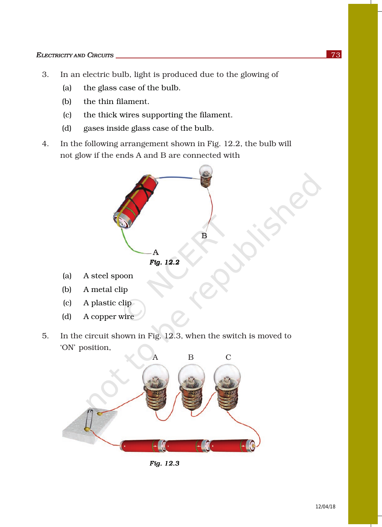- 3. In an electric bulb, light is produced due to the glowing of
	- (a) the glass case of the bulb.
	- (b) the thin filament.
	- (c) the thick wires supporting the filament.
	- (d) gases inside glass case of the bulb.
- 4. In the following arrangement shown in Fig. 12.2, the bulb will not glow if the ends A and B are connected with



- (a) A steel spoon
- (b) A metal clip
- (c) A plastic clip
- (d) A copper wire
- 5. In the circuit shown in Fig. 12.3, when the switch is moved to 'ON' position,



*Fig. 12.3 12.3Fig. 12.3*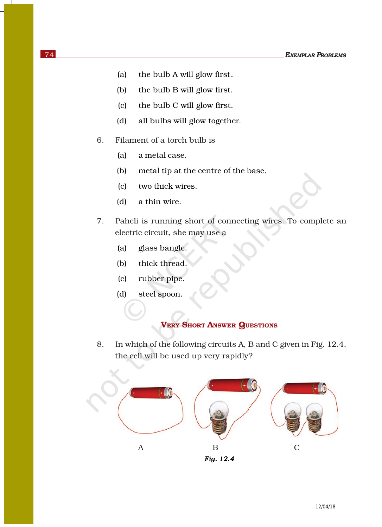- (a) the bulb A will glow first.
- (b) the bulb B will glow first.
- (c) the bulb C will glow first.
- (d) all bulbs will glow together.
- 6. Filament of a torch bulb is
	- (a) a metal case.
	- (b) metal tip at the centre of the base.
	- (c) two thick wires.
	- (d) a thin wire.
- 7. Paheli is running short of connecting wires. To complete an electric circuit, she may use a
	- (a) glass bangle.
	- (b) thick thread.
	- (c) rubber pipe.
	- (d) steel spoon.

## VERY SHORT ANSWER QUESTIONS

8. In which of the following circuits A, B and C given in Fig. 12.4, the cell will be used up very rapidly?

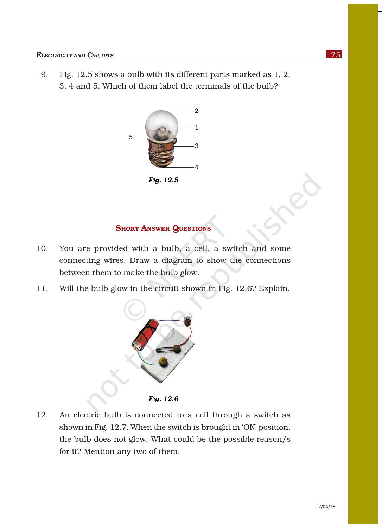9. Fig. 12.5 shows a bulb with its different parts marked as 1, 2, 3, 4 and 5. Which of them label the terminals of the bulb?



*Fig. 12.5 Fig. 12.5Fig.* 

## **SHORT ANSWER QUESTIONS**

- 10. You are provided with a bulb, a cell, a switch and some connecting wires. Draw a diagram to show the connections between them to make the bulb glow.
- 11. Will the bulb glow in the circuit shown in Fig. 12.6? Explain.



*Fig. 12.6 Fig. 12.6Fig.* 

12. An electric bulb is connected to a cell through a switch as shown in Fig. 12.7. When the switch is brought in 'ON' position, the bulb does not glow. What could be the possible reason/s for it? Mention any two of them.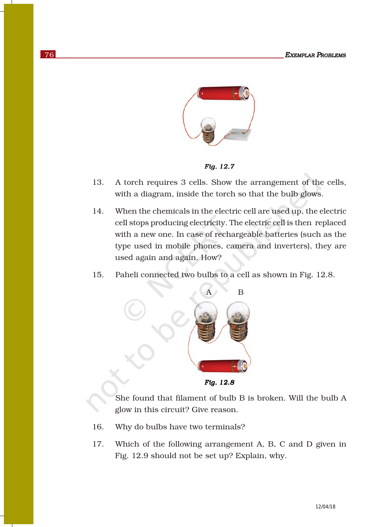

*Fig. 12.7* 

- 13. A torch requires 3 cells. Show the arrangement of the cells, with a diagram, inside the torch so that the bulb glows.
- 14. When the chemicals in the electric cell are used up, the electric cell stops producing electricity. The electric cell is then replaced with a new one. In case of rechargeable batteries (such as the type used in mobile phones, camera and inverters), they are used again and again. How?
- 15. Paheli connected two bulbs to a cell as shown in Fig. 12.8.



*Fig. 12.8* 

She found that filament of bulb B is broken. Will the bulb A glow in this circuit? Give reason.

- 16. Why do bulbs have two terminals?
- 17. Which of the following arrangement A, B, C and D given in Fig. 12.9 should not be set up? Explain, why.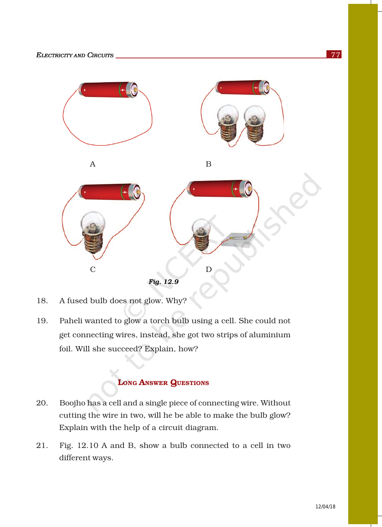



<sup>18.</sup> A fused bulb does not glow. Why?

19. Paheli wanted to glow a torch bulb using a cell. She could not get connecting wires, instead, she got two strips of aluminium foil. Will she succeed? Explain, how?

## LONG ANSWER QUESTIONS

- 20. Boojho has a cell and a single piece of connecting wire. Without cutting the wire in two, will he be able to make the bulb glow? Explain with the help of a circuit diagram.
- 21. Fig. 12.10 A and B, show a bulb connected to a cell in two different ways.